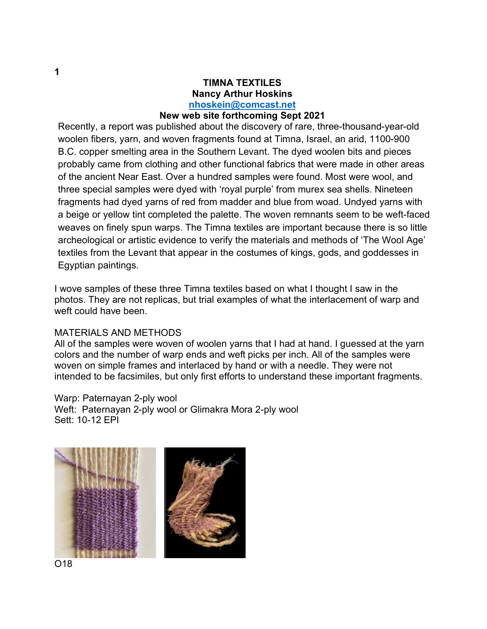## **TIMNA TEXTILES Nancy Arthur Hoskins nhoskein@comcast.net**

## **New web site forthcoming Sept 2021**

Recently, a report was published about the discovery of rare, three-thousand-year-old woolen fibers, yarn, and woven fragments found at Timna, Israel, an arid, 1100-900 B.C. copper smelting area in the Southern Levant. The dyed woolen bits and pieces probably came from clothing and other functional fabrics that were made in other areas of the ancient Near East. Over a hundred samples were found. Most were wool, and three special samples were dyed with 'royal purple' from murex sea shells. Nineteen fragments had dyed yarns of red from madder and blue from woad. Undyed yarns with a beige or yellow tint completed the palette. The woven remnants seem to be weft-faced weaves on finely spun warps. The Timna textiles are important because there is so little archeological or artistic evidence to verify the materials and methods of 'The Wool Age' textiles from the Levant that appear in the costumes of kings, gods, and goddesses in Egyptian paintings.

I wove samples of these three Timna textiles based on what I thought I saw in the photos. They are not replicas, but trial examples of what the interlacement of warp and weft could have been.

## MATERIALS AND METHODS

All of the samples were woven of woolen yarns that I had at hand. I guessed at the yarn colors and the number of warp ends and weft picks per inch. All of the samples were woven on simple frames and interlaced by hand or with a needle. They were not intended to be facsimiles, but only first efforts to understand these important fragments.

Warp: Paternayan 2-ply wool Weft: Paternayan 2-ply wool or Glimakra Mora 2-ply wool Sett: 10-12 EPI

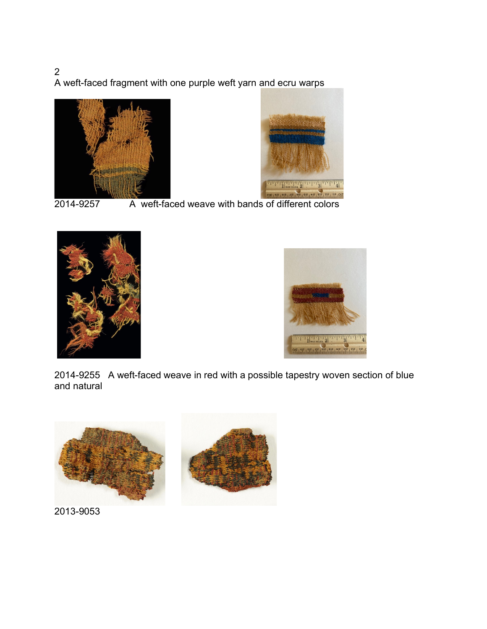2 A weft-faced fragment with one purple weft yarn and ecru warps





2014-9257 A weft-faced weave with bands of different colors





2014-9255 A weft-faced weave in red with a possible tapestry woven section of blue and natural



2013-9053